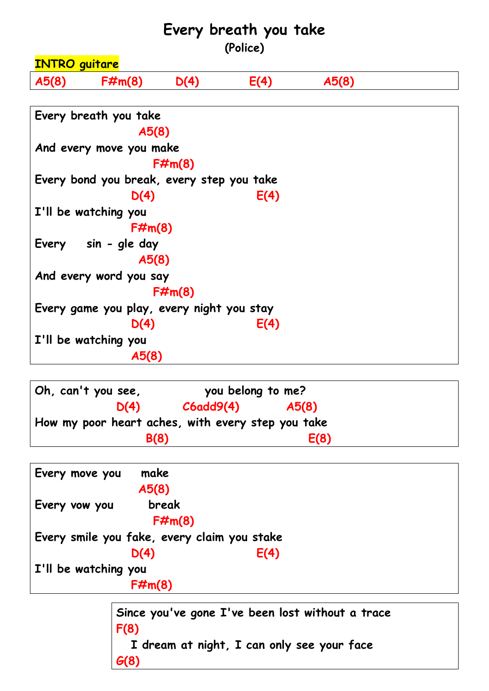## **Every breath you take**

**(Police)**



**Oh, can't you see, you belong to me? D(4) C6add9(4) A5(8) How my poor heart aches, with every step you take B(8) E(8)**

![](_page_0_Figure_4.jpeg)

**Since you've gone I've been lost without a trace F(8) I dream at night, I can only see your face G(8)**